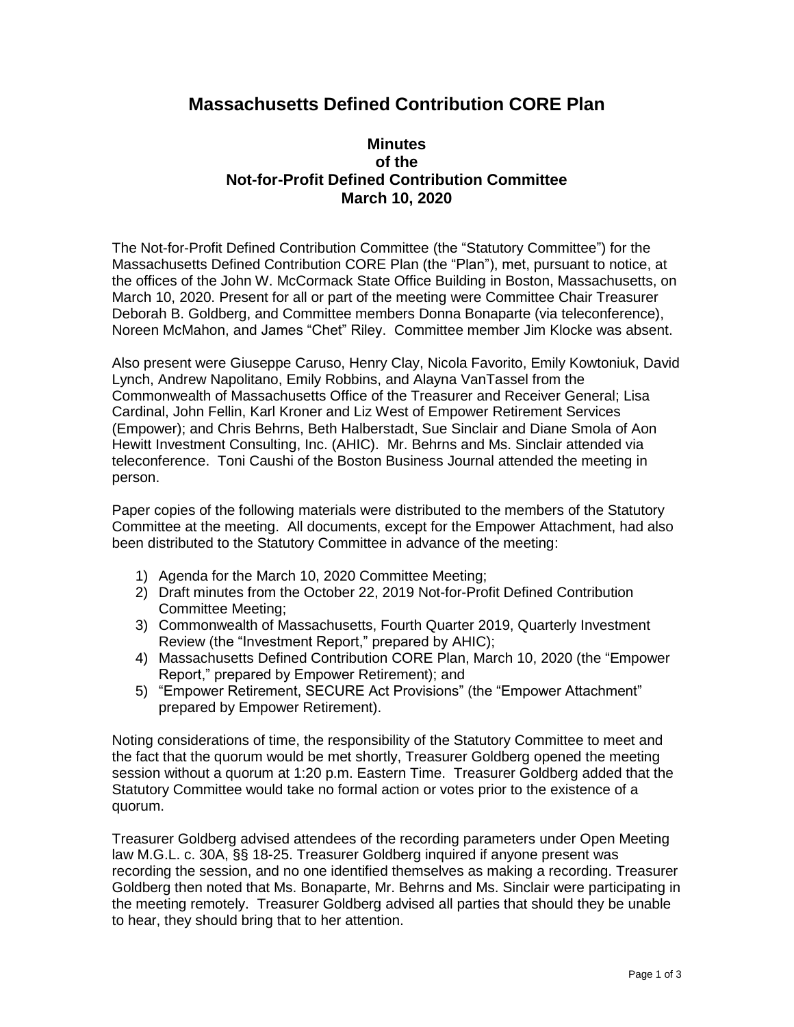## **Massachusetts Defined Contribution CORE Plan**

## **Minutes of the Not-for-Profit Defined Contribution Committee March 10, 2020**

The Not-for-Profit Defined Contribution Committee (the "Statutory Committee") for the Massachusetts Defined Contribution CORE Plan (the "Plan"), met, pursuant to notice, at the offices of the John W. McCormack State Office Building in Boston, Massachusetts, on March 10, 2020. Present for all or part of the meeting were Committee Chair Treasurer Deborah B. Goldberg, and Committee members Donna Bonaparte (via teleconference), Noreen McMahon, and James "Chet" Riley. Committee member Jim Klocke was absent.

Also present were Giuseppe Caruso, Henry Clay, Nicola Favorito, Emily Kowtoniuk, David Lynch, Andrew Napolitano, Emily Robbins, and Alayna VanTassel from the Commonwealth of Massachusetts Office of the Treasurer and Receiver General; Lisa Cardinal, John Fellin, Karl Kroner and Liz West of Empower Retirement Services (Empower); and Chris Behrns, Beth Halberstadt, Sue Sinclair and Diane Smola of Aon Hewitt Investment Consulting, Inc. (AHIC). Mr. Behrns and Ms. Sinclair attended via teleconference. Toni Caushi of the Boston Business Journal attended the meeting in person.

Paper copies of the following materials were distributed to the members of the Statutory Committee at the meeting. All documents, except for the Empower Attachment, had also been distributed to the Statutory Committee in advance of the meeting:

- 1) Agenda for the March 10, 2020 Committee Meeting;
- 2) Draft minutes from the October 22, 2019 Not-for-Profit Defined Contribution Committee Meeting;
- 3) Commonwealth of Massachusetts, Fourth Quarter 2019, Quarterly Investment Review (the "Investment Report," prepared by AHIC);
- 4) Massachusetts Defined Contribution CORE Plan, March 10, 2020 (the "Empower Report," prepared by Empower Retirement); and
- 5) "Empower Retirement, SECURE Act Provisions" (the "Empower Attachment" prepared by Empower Retirement).

Noting considerations of time, the responsibility of the Statutory Committee to meet and the fact that the quorum would be met shortly, Treasurer Goldberg opened the meeting session without a quorum at 1:20 p.m. Eastern Time. Treasurer Goldberg added that the Statutory Committee would take no formal action or votes prior to the existence of a quorum.

Treasurer Goldberg advised attendees of the recording parameters under Open Meeting law M.G.L. c. 30A, §§ 18-25. Treasurer Goldberg inquired if anyone present was recording the session, and no one identified themselves as making a recording. Treasurer Goldberg then noted that Ms. Bonaparte, Mr. Behrns and Ms. Sinclair were participating in the meeting remotely. Treasurer Goldberg advised all parties that should they be unable to hear, they should bring that to her attention.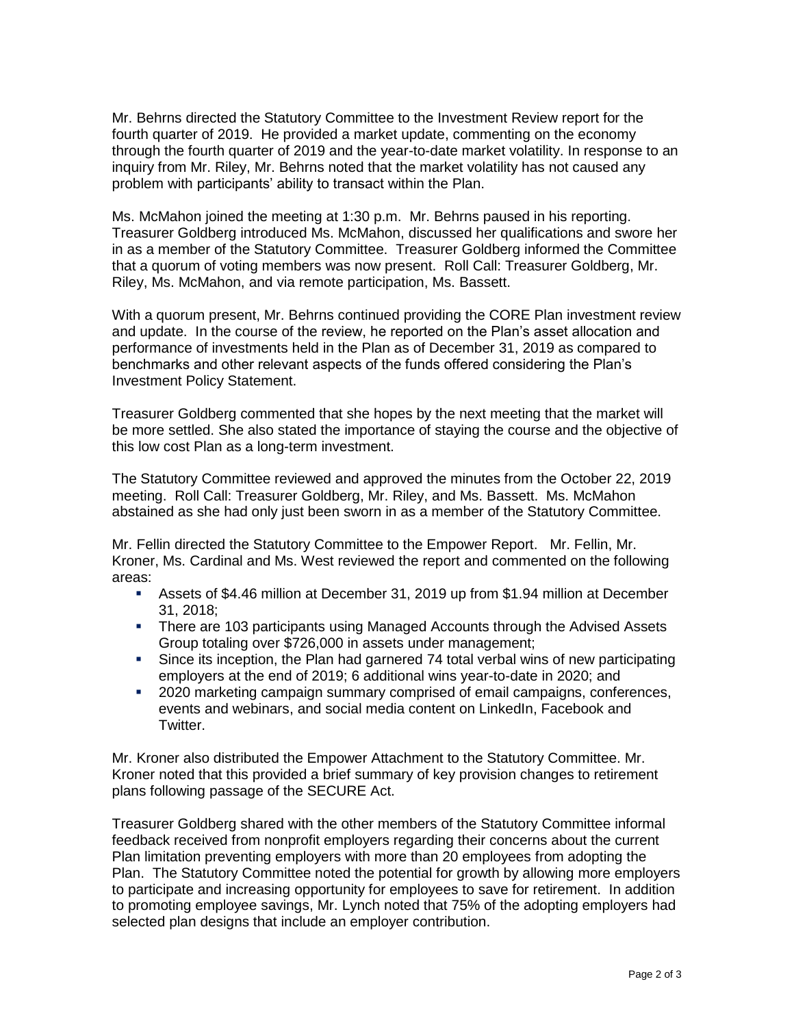Mr. Behrns directed the Statutory Committee to the Investment Review report for the fourth quarter of 2019. He provided a market update, commenting on the economy through the fourth quarter of 2019 and the year-to-date market volatility. In response to an inquiry from Mr. Riley, Mr. Behrns noted that the market volatility has not caused any problem with participants' ability to transact within the Plan.

Ms. McMahon joined the meeting at 1:30 p.m. Mr. Behrns paused in his reporting. Treasurer Goldberg introduced Ms. McMahon, discussed her qualifications and swore her in as a member of the Statutory Committee. Treasurer Goldberg informed the Committee that a quorum of voting members was now present. Roll Call: Treasurer Goldberg, Mr. Riley, Ms. McMahon, and via remote participation, Ms. Bassett.

With a quorum present, Mr. Behrns continued providing the CORE Plan investment review and update. In the course of the review, he reported on the Plan's asset allocation and performance of investments held in the Plan as of December 31, 2019 as compared to benchmarks and other relevant aspects of the funds offered considering the Plan's Investment Policy Statement.

Treasurer Goldberg commented that she hopes by the next meeting that the market will be more settled. She also stated the importance of staying the course and the objective of this low cost Plan as a long-term investment.

The Statutory Committee reviewed and approved the minutes from the October 22, 2019 meeting. Roll Call: Treasurer Goldberg, Mr. Riley, and Ms. Bassett. Ms. McMahon abstained as she had only just been sworn in as a member of the Statutory Committee.

Mr. Fellin directed the Statutory Committee to the Empower Report. Mr. Fellin, Mr. Kroner, Ms. Cardinal and Ms. West reviewed the report and commented on the following areas:

- **EXEL Assets of \$4.46 million at December 31, 2019 up from \$1.94 million at December** 31, 2018;
- **There are 103 participants using Managed Accounts through the Advised Assets** Group totaling over \$726,000 in assets under management;
- Since its inception, the Plan had garnered 74 total verbal wins of new participating employers at the end of 2019; 6 additional wins year-to-date in 2020; and
- **2020 marketing campaign summary comprised of email campaigns, conferences,** events and webinars, and social media content on LinkedIn, Facebook and Twitter.

Mr. Kroner also distributed the Empower Attachment to the Statutory Committee. Mr. Kroner noted that this provided a brief summary of key provision changes to retirement plans following passage of the SECURE Act.

Treasurer Goldberg shared with the other members of the Statutory Committee informal feedback received from nonprofit employers regarding their concerns about the current Plan limitation preventing employers with more than 20 employees from adopting the Plan. The Statutory Committee noted the potential for growth by allowing more employers to participate and increasing opportunity for employees to save for retirement. In addition to promoting employee savings, Mr. Lynch noted that 75% of the adopting employers had selected plan designs that include an employer contribution.